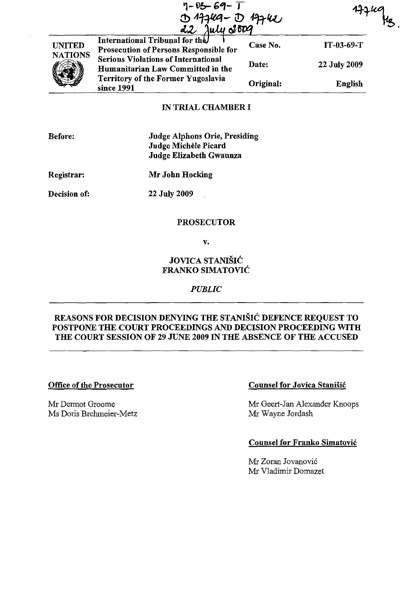|                | "I-" vo-- 69- J<br>017449-017442                                                |           |                |
|----------------|---------------------------------------------------------------------------------|-----------|----------------|
| <b>UNITED</b>  | International Tribunal for the<br><b>Prosecution of Persons Responsible for</b> | Case No.  | $IT-03-69-T$   |
| <b>NATIONS</b> | <b>Serious Violations of International</b><br>Humanitarian Law Committed in the | Date:     | 22 July 2009   |
|                | <b>Territory of the Former Yugoslavia</b><br>since 1991                         | Original: | <b>English</b> |

## IN TRIAL CHAMBER I

Judge Alphons Orie, Presiding Judge Michele Picard Judge Elizabeth Gwaunza

Registrar:

Mr John Hocking

Decision of:

22 July 2009

## PROSECUTOR

v.

# JOVICA STANISIC FRANKO SIMATOVIC

### *PUBLIC*

# REASONS FOR DECISION DENYING THE STANISIC DEFENCE REQUEST TO POSTPONE THE COURT PROCEEDINGS AND DECISION PROCEEDING WITH THE COURT SESSION OF 29 JUNE 2009 IN THE ABSENCE OF THE ACCUSED

### Office of the Prosecutor

Mr Dermot Groome Ms Doris Brehmeier-Metz

### Counsel for Jovica Stanišić

Mr Geert-Jan Alexander Knoops Mr Wayne Jordash

# Counsel for Franko Simatovic

Mr Zoran Jovanovic Mr Vladimir Domazet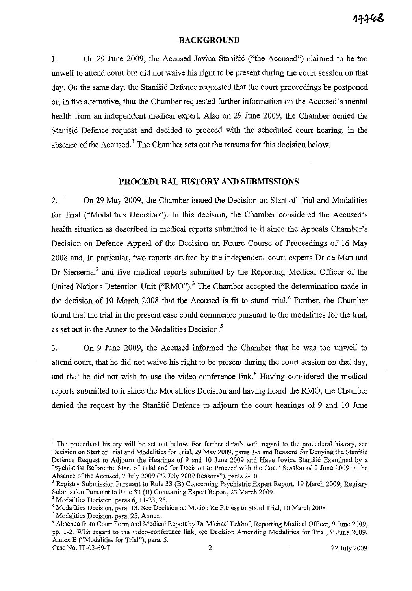#### **BACKGROUND**

1. On 29 June 2009, the Accused Jovica Stanisic ("the Accused") claimed to be too unwell to attend court but did not waive his right to be present during the court session on that day. On the same day, the Stanisic Defence requested that the court proceedings be postponed or, in the alternative, that the Chamber requested further information on the Accused's mental health from an independent medical expert. Also on 29 June 2009, the Chamber denied the Stanišić Defence request and decided to proceed with the scheduled court hearing, in the absence of the Accused.<sup>1</sup> The Chamber sets out the reasons for this decision below.

### **PROCEDURAL HISTORY AND SUBMISSIONS**

2. On 29 May 2009, the Chamber issued the Decision on Start of Trial and Modalities for Trial ("Modalities Decision"). In this decision, the Chamber considered the Accused's health situation as described in medical reports submitted to it since the Appeals Chamber's Decision on Defence Appeal of the Decision on Future Course of Proceedings of 16 May 2008 and, in particular, two reports drafted by the independent court experts Dr de Man and Dr Siersema,<sup>2</sup> and five medical reports submitted by the Reporting Medical Officer of the United Nations Detention Unit ("RMO").<sup>3</sup> The Chamber accepted the determination made in the decision of 10 March 2008 that the Accused is fit to stand trial.<sup>4</sup> Further, the Chamber found that the trial in the present case could commence pursuant to the modalities for the trial, as set out in the Annex to the Modalities Decision.<sup>5</sup>

3. On 9 June 2009, the Accused informed the Chamber that he was too unwell to attend court, that he did not waive his right to be present during the court session on that day, and that he did not wish to use the video-conference link.<sup>6</sup> Having considered the medical reports submitted to it since the Modalities Decision and having heard the RMO, the Chamber denied the request by the Stanisic Defence to adjourn the court hearings of 9 and 10 June

<sup>&</sup>lt;sup>1</sup> The procedural history will be set out below. For further details with regard to the procedural history, see Decision on Start of Trial and Modalities for Trial, 29 May 2009, paras 1-5 and Reasons for Denying the Stanišić Defence Request to Adjourn the Hearings of 9 and 10 June 2009 and Have Jovica Stanišić Examined by a Psychiatrist Before the Start of Trial and for Decision to Proceed with the Court Session of 9 June 2009 in the Absence of the Accused, 2 July 2009 ("2 July 2009 Reasons"), paras 2-10.

<sup>2</sup> Registry Submission Pursuant to Rule 33 (B) Concerning Psychiatric Expert Report, 19 March 2009; Registry Submission Pursuant to Rule 33 (B) Concerning Expert Report, 23 March 2009.

<sup>&</sup>lt;sup>3</sup> Modalities Decision, paras 6, 11-23, 25.

<sup>4</sup> Modalities Decision, para. 13. See Decision on Motion Re Fitness to Stand Trial, 10 March 2008.

<sup>&</sup>lt;sup>5</sup> Modalities Decision, para. 25, Annex.

<sup>6</sup> Absence from Court Form and Medical Report by Dr Michael Eekhof, Reporting Medical Officer, 9 June 2009, pp. 1-2. With regard to the video-conference link, see Decision Amending Modalities for Trial, 9 June 2009, Annex B ("Modalities for Trial"), para. 5. Case No. IT-03-69-T 2 22 July 2009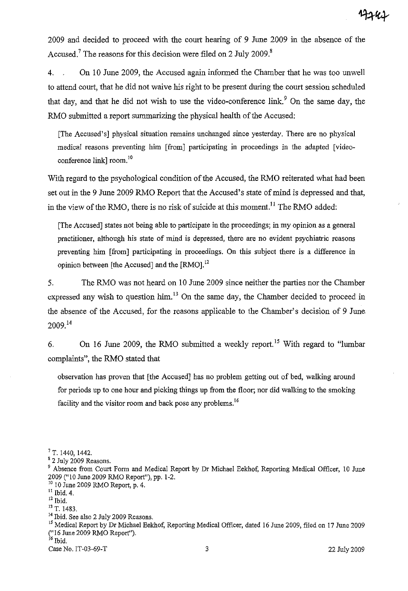2009 and decided to proceed with the court hearing of 9 June 2009 in the absence of the Accused.<sup>7</sup> The reasons for this decision were filed on 2 July 2009.<sup>8</sup>

4. On 10 June 2009, the Accused again infonned the Chamber that he was too unwell to attend court, that he did not waive his right to be present during the court session scheduled that day, and that he did not wish to use the video-conference  $\text{link}^9$ . On the same day, the RMO submitted a report summarizing the physical health of the Accused:

[The Accused's] physical situation remains unchanged since yesterday. There are no physical medical reasons preventing him [from] participating in proceedings in the adapted [videoconference link] room.<sup>10</sup>

With regard to the psychological condition of the Accused, the RMO reiterated what had been set out in the 9 June 2009 RMO Report that the Accused's state of mind is depressed and that, in the view of the RMO, there is no risk of suicide at this moment.<sup>11</sup> The RMO added:

[The Accused] states not being able to participate in the proceedings; in my opinion as a general practitioner, although his state of mind is depressed, there are no evident psychiatric reasons preventing him [from] participating in proceedings. On this subject there is a difference in opinion between [the Accused] and the [RMO].<sup>12</sup>

5. The RMO was not heard on 10 June 2009 since neither the parties nor the Chamber expressed any wish to question him.<sup>13</sup> On the same day, the Chamber decided to proceed in the absence of the Accused, for the reasons applicable to the Chamber's decision of 9 June 2009. <sup>14</sup>

6. On 16 June 2009, the RMO submitted a weekly report.<sup>15</sup> With regard to "lumbar" complaints", the RMO stated that

observation has proven that [the Accused] has no problem getting out of bed, walking around for periods up to one hour and picking things up from the floor; nor did walking to the smoking facility and the visitor room and back pose any problems.<sup>16</sup>

10 10 June 2009 RMO Report, p. 4.

<sup>7</sup> T. 1440, 1442.

<sup>&</sup>lt;sup>8</sup> 2 July 2009 Reasons.

<sup>&</sup>lt;sup>9</sup> Absence from Court Form and Medical Report by Dr Michael Eekhof, Reporting Medical Officer, 10 June 2009 ("10 June 2009 RMO Report"), pp. 1-2.

 $\frac{11}{12}$  Ibid. 4.

<sup>&</sup>lt;sup>13</sup> T. 1483.

<sup>&</sup>lt;sup>14</sup> Ibid. See also 2 July 2009 Reasons.

<sup>&</sup>lt;sup>15</sup> Medical Report by Dr Michael Eekhof, Reporting Medical Officer, dated 16 June 2009, filed on 17 June 2009 ("16 June 2009 RMO Report").<br><sup>16</sup> Ibid.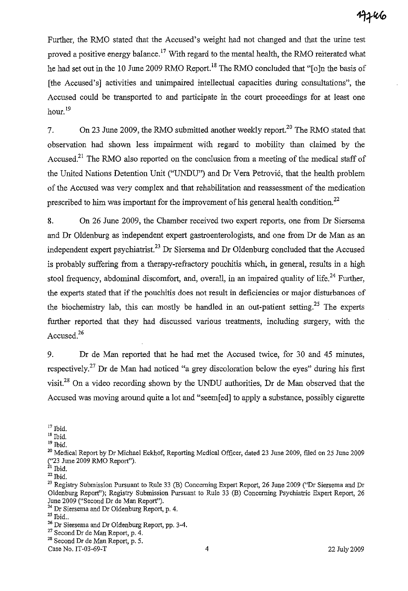Further, the RMO stated that the Accused's weight had not changed and that the urine test proved a positive energy balance.<sup>17</sup> With regard to the mental health, the RMO reiterated what he had set out in the 10 June 2009 RMO Report.<sup>18</sup> The RMO concluded that "[o]n the basis of [the Accused's] activities and unimpaired intellectual capacities during consultations", the Accused could be transported to and participate in the court proceedings for at least one hour. 19

7. On 23 June 2009, the RMO submitted another weekly report.<sup>20</sup> The RMO stated that observation had shown less impairment with regard to mobility than claimed by the Accused.<sup>21</sup> The RMO also reported on the conclusion from a meeting of the medical staff of the United Nations Detention Unit ("UNDU") and Dr Vera Petrovic, that the health problem of the Accused was very complex and that rehabilitation and reassessment of the medication prescribed to him was important for the improvement of his general health condition.<sup>22</sup>

8. On 26 June 2009, the Chamber received two expert reports, one from Dr Siersema and Dr Oldenburg as independent expert gastroenterologists, and one from Dr de Man as an independent expert psychiatrist.<sup>23</sup> Dr Siersema and Dr Oldenburg concluded that the Accused is probably suffering from a therapy-refractory pouchitis which, in general, results in a high stool frequency, abdominal discomfort, and, overall, in an impaired quality of life.<sup>24</sup> Further, the experts stated that if the pouchitis does not result in deficiencies or major disturbances of the biochemistry lab, this can mostly be handled in an out-patient setting.<sup>25</sup> The experts further reported that they had discussed various treatments, including surgery, with the Accused.<sup>26</sup>

9. Dr de Man reported that he had met the Accused twice, for 30 and 45 minutes, respectively.<sup>27</sup> Dr de Man had noticed "a grey discoloration below the eyes" during his first visit.<sup>28</sup> On a video recording shown by the UNDU authorities, Dr de Man observed that the Accused was moving around quite a lot and "seem[ed] to apply a substance, possibly cigarette

<sup>&</sup>lt;sup>17</sup> Ibid.

 $18$  Ibid.

<sup>19</sup> Ibid.

<sup>&</sup>lt;sup>20</sup> Medical Report by Dr Michael Eekhof, Reporting Medical Officer, dated 23 June 2009, filed on 25 June 2009 ("23 June 2009 RMO Report").

 $^{21}$  Ibid.

 $22$  Ibid.

<sup>&</sup>lt;sup>23</sup> Registry Submission Pursuant to Rule 33 (B) Concerning Expert Report, 26 June 2009 ("Dr Siersema and Dr Oldenburg Reporf'); Registry Submission Pursuant to Rule 33 (B) Concerning Psychiatric Expert Report, 26 June 2009 ("Second Dr de Man Report").

<sup>24</sup> Dr Siersema and Dr Oldenburg Report, p. 4.

 $^{25}$  Ibid..

<sup>&</sup>lt;sup>26</sup> Dr Siersema and Dr Oldenburg Report, pp. 3-4.

<sup>27</sup> Second Dr de Man Report, p. 4.

<sup>28</sup> Second Dr de Man Report, p. 5.

Case No. IT-03-69-T 4 22 July 2009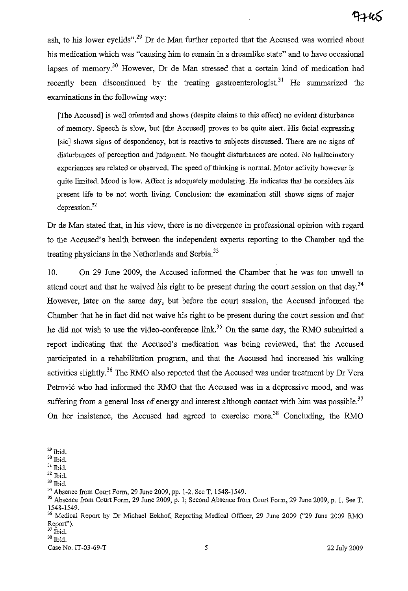ash, to his lower eyelids".<sup>29</sup> Dr de Man further reported that the Accused was worried about his medication which was "causing him to remain in a dreamlike state" and to have occasional lapses of memory.<sup>30</sup> However, Dr de Man stressed that a certain kind of medication had recently been discontinued by the treating gastroenterologist.<sup>31</sup> He summarized the examinations in the following way:

[The Accused] is well oriented and shows (despite claims to this effect) no evident disturbance of memory. Speech is slow, but [the Accused] proves to be quite alert. His facial expressing [sic] shows signs of despondency, but is reactive to subjects discussed. There are no signs of disturbances of perception and judgment. No thought disturbances are noted. No hallucinatory experiences are related or observed. The speed of thinking is uormal. Motor activity however is quite limited. Mood is low. Affect is adequately modulating. He indicates that he considers his present life to be not worth living. Conclusion: the examination still shows signs of major  $d$ epression. $32$ 

Dr de Man stated that, in his view, there is no divergence in professional opinion with regard to the Accused's health between the independent experts reporting to the Chamber and the treating physicians in the Netherlands and Serbia.<sup>33</sup>

10. On 29 June 2009, the Accused informed the Chamber that he was too unwell to attend court and that he waived his right to be present during the court session on that day.<sup>34</sup> However, later on the same day, but before the court session, the Accused informed the Chamber that he in fact did not waive his right to be present during the court session and that he did not wish to use the video-conference link.<sup>35</sup> On the same day, the RMO submitted a report indicating that the Accused's medication was being reviewed, that the Accused participated in a rehabilitation program, and that the Accused had increased his walking activities slightly.<sup>36</sup> The RMO also reported that the Accused was under treatment by Dr Vera Petrovic who had informed the RMO that the Accused was in a depressive mood, and was suffering from a general loss of energy and interest although contact with him was possible.<sup>37</sup> On her insistence, the Accused had agreed to exercise more.<sup>38</sup> Concluding, the RMO

32 Ibid.

Case No. IT-03-69-T 5 22 July 2009

 $^{\rm 29}$  Ibid.

 $30$  Ibid.

 $31$  Ibid.

<sup>33</sup> Ibid.

<sup>34</sup>Absence from Court Form, 29 June 2009, pp. 1-2. See T. 1548-1549.

<sup>35</sup> Absence from Court Form, 29 June 2009, p. I; Second Absence from Court Form, 29 June 2009, p. I. See T. 1548-1549.

<sup>&</sup>lt;sup>36</sup> Medical Report by Dr Michael Eekhof, Reporting Medical Officer, 29 June 2009 ("29 June 2009 RMO Report").

 $37$  Ibid. 38 Ibid.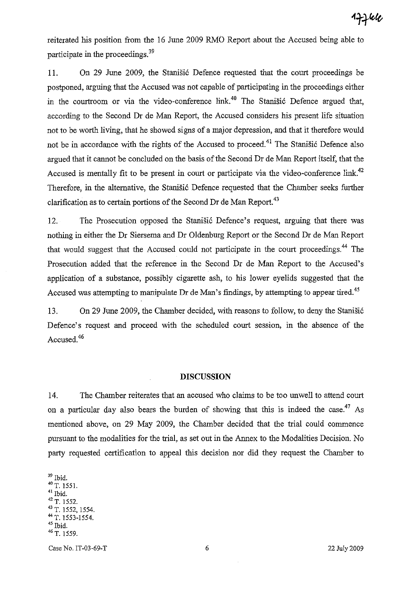reiterated his position from the 16 June 2009 RMO Report about the Accused being able to participate in the proceedings.<sup>39</sup>

11. On 29 June 2009, the Stanisi6 Defence requested that the court proceedings be postponed, arguing that the Accused was not capable of participating in the proceedings either in the courtroom or via the video-conference link.<sup>40</sup> The Stanišić Defence argued that, according to the Second Dr de Man Report, the Accused considers his present life situation not to be worth living, that he showed signs of a major depression, and that it therefore would not be in accordance with the rights of the Accused to proceed.<sup>41</sup> The Stanisic Defence also argued that it cannot be concluded on the basis of the Second Dr de Man Report itself, that the Accused is mentally fit to be present in court or participate via the video-conference link.<sup>42</sup> Therefore, in the alternative, the Stanišić Defence requested that the Chamber seeks further clarification as to certain portions of the Second Dr de Man Report.<sup>43</sup>

12. The Prosecution opposed the Stanisic Defence's request, arguing that there was nothing in either the Dr Siersema and Dr Oldenburg Report or the Second Dr de Man Report that would suggest that the Accused could not participate in the court proceedings.<sup>44</sup> The Prosecution added that the reference in the Second Dr de Man Report to the Accused's application of a substance, possibly cigarette ash, to his lower eyelids suggested that the Accused was attempting to manipulate Dr de Man's findings, by attempting to appear tired.<sup>45</sup>

13. On 29 June 2009, the Chamber decided, with reasons to follow, to deny the Stanisić Defence's request and proceed with the scheduled court session, in the absence of the Accused.<sup>46</sup>

#### **DISCUSSION**

14. The Chamber reiterates that an accused who claims to be too unwell to attend court on a particular day also bears the burden of showing that this is indeed the case.<sup>47</sup> As mentioned above, on 29 May 2009, the Chamber decided that the trial could commence pursuant to the modalities for the trial, as set out in the Annex to the Modalities Decision. No party requested certification to appeal this decision nor did they request the Chamber to

 $^{\rm 39}$  Ibid.  $^{40}$  T. 1551. 41 Ibid. 42 T. 1552. <sup>43</sup> T. 1552, 1554. <sup>44</sup> T. 1553-1554. 45 Ibid. 46 T. 1559.

Case No. IT-03-69-T 6 22 July 2009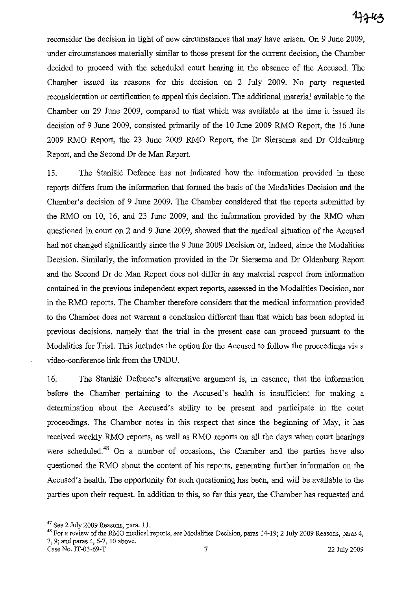reconsider the decision in light of new circumstances that may have arisen. On 9 June 2009, under circumstances materially similar to those present for the current decision, the Chamber decided to proceed with the scheduled court hearing in the absence of the Accused. The Chamber issued its reasons for this decision on 2 July 2009. No party requested reconsideration or certification to appeal this decision. The additional material available to the Chamber on 29 June 2009, compared to that which was available at the time it issued its decision of 9 June 2009, consisted primarily of the 10 June 2009 RMO Report, the 16 June 2009 RMO Report, the 23 June 2009 RMO Report, the Dr Siersema and Dr Oldenburg Report, and the Second Dr de Man Report.

15. The Stanisic Defence has not indicated how the information provided in these reports differs from the information that formed the basis of the Modalities Decision and the Chamber's decision of 9 June 2009. The Chamber considered that the reports submitted by the RMO on 10, 16, and 23 June 2009, and the information provided by the RMO when questioned in court on 2 and 9 June 2009, showed that the medical situation of the Accused had not changed significantly since the 9 June 2009 Decision or, indeed, since the Modalities Decision. Similarly, the information provided in the Dr Siersema and Dr Oldenburg Report and the Second Dr de Man Report does not differ in any material respect from information contained in the previous independent expert reports, assessed in the Modalities Decision, nor in the RMO reports. The Chamber therefore considers that the medical information provided to the Chamber does not warrant a conclusion different than that which has been adopted in previous decisions, namely that the trial in the present case can proceed pursuant to the Modalities for Trial. This includes the option for the Accused to follow the proceedings via a video-conference link from the UNDU.

16. The Stanišić Defence's alternative argument is, in essence, that the information before the Chamber pertaining to the Accused's health is insufficient for making a determination about the Accused's ability to be present and participate in the court proceedings. The Chamber notes in this respect that since the beginning of May, it has received weekly RMO reports, as well as RMO reports on *all* the days when court hearings were scheduled.<sup>48</sup> On a number of occasions, the Chamber and the parties have also questioned the RMO about the content of his reports, generating further information on the Accused's health. The opportunity for such questioning has been, and will be available to the parties upon their request. In addition to this, so far this year, the Chamber has requested and

<sup>47</sup> See 2 July 2009 Reasons, para. II.

<sup>48</sup> For a review of the RMO medical reports, see Modalities Decision, paras 14-19; 2 July 2009 Reasons, paras 4, 7, 9; and paras 4, 6-7, 10 above. Case No. IT-03-69-T 7 22 July 2009